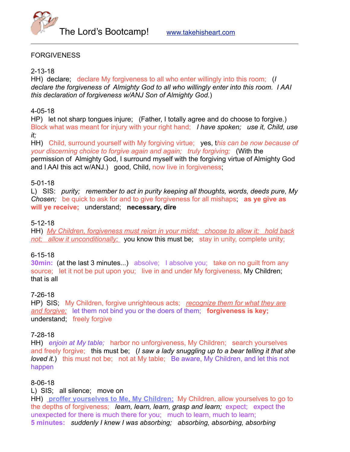

## FORGIVENESS

#### 2-13-18

HH) declare; declare My forgiveness to all who enter willingly into this room; (*I declare the forgiveness of Almighty God to all who willingly enter into this room. I AAI this declaration of forgiveness w/ANJ Son of Almighty God.*)

## 4-05-18

HP) let not sharp tongues injure; (Father, I totally agree and do choose to forgive.) Block what was meant for injury with your right hand; *I have spoken; use it, Child, use it;*

HH) Child, surround yourself with My forgiving virtue; yes, t*his can be now because of your discerning choice to forgive again and again; truly forgiving;* (With the permission of Almighty God, I surround myself with the forgiving virtue of Almighty God and I AAI this act w/ANJ.) good, Child, now live in forgiveness;

## 5-01-18

L) SIS: *purity; remember to act in purity keeping all thoughts, words, deeds pure, My Chosen;* be quick to ask for and to give forgiveness for all mishaps; **as ye give as will ye receive;** understand; **necessary, dire**

#### 5-12-18

HH) *My Children, forgiveness must reign in your midst; choose to allow it; hold back not; allow it unconditionally;* you know this must be; stay in unity, complete unity;

#### 6-15-18

**30min:** (at the last 3 minutes...) absolve; I absolve you; take on no quilt from any source; let it not be put upon you; live in and under My forgiveness, My Children; that is all

#### 7-26-18

HP) SIS; My Children, forgive unrighteous acts; *recognize them for what they are and forgive;* let them not bind you or the doers of them; **forgiveness is key;**  understand; freely forgive

#### 7-28-18

HH) *enjoin at My table;* harbor no unforgiveness, My Children; search yourselves and freely forgive; this must be; (*I saw a lady snuggling up to a bear telling it that she loved it.*) this must not be; not at My table; Be aware, My Children, and let this not happen

#### 8-06-18

L) SIS; all silence; move on

HH) **proffer yourselves to Me, My Children;** My Children, allow yourselves to go to the depths of forgiveness; *learn, learn, learn, grasp and learn;* expect; expect the unexpected for there is much there for you; much to learn, much to learn; **5 minutes:** *suddenly I knew I was absorbing; absorbing, absorbing, absorbing*